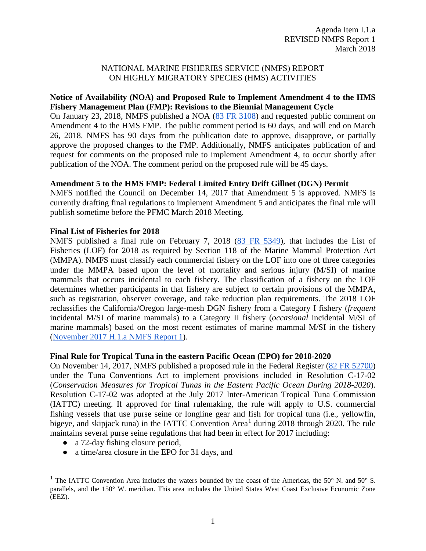#### NATIONAL MARINE FISHERIES SERVICE (NMFS) REPORT ON HIGHLY MIGRATORY SPECIES (HMS) ACTIVITIES

## **Notice of Availability (NOA) and Proposed Rule to Implement Amendment 4 to the HMS Fishery Management Plan (FMP): Revisions to the Biennial Management Cycle**

On January 23, 2018, NMFS published a NOA [\(83 FR 3108\)](https://www.federalregister.gov/documents/2018/01/23/2018-01180/fisheries-off-west-coast-states-highly-migratory-fisheries-amendment-4-to-fishery-management-plan) and requested public comment on Amendment 4 to the HMS FMP. The public comment period is 60 days, and will end on March 26, 2018. NMFS has 90 days from the publication date to approve, disapprove, or partially approve the proposed changes to the FMP. Additionally, NMFS anticipates publication of and request for comments on the proposed rule to implement Amendment 4, to occur shortly after publication of the NOA. The comment period on the proposed rule will be 45 days.

## **Amendment 5 to the HMS FMP: Federal Limited Entry Drift Gillnet (DGN) Permit**

NMFS notified the Council on December 14, 2017 that Amendment 5 is approved. NMFS is currently drafting final regulations to implement Amendment 5 and anticipates the final rule will publish sometime before the PFMC March 2018 Meeting.

#### **Final List of Fisheries for 2018**

NMFS published a final rule on February 7, 2018 [\(83 FR 5349\)](https://www.federalregister.gov/documents/2018/02/07/2018-02442/list-of-fisheries-for-2018), that includes the List of Fisheries (LOF) for 2018 as required by Section 118 of the Marine Mammal Protection Act (MMPA). NMFS must classify each commercial fishery on the LOF into one of three categories under the MMPA based upon the level of mortality and serious injury (M/SI) of marine mammals that occurs incidental to each fishery. The classification of a fishery on the LOF determines whether participants in that fishery are subject to certain provisions of the MMPA, such as registration, observer coverage, and take reduction plan requirements. The 2018 LOF reclassifies the California/Oregon large-mesh DGN fishery from a Category I fishery (*frequent* incidental M/SI of marine mammals) to a Category II fishery (*occasional* incidental M/SI of marine mammals) based on the most recent estimates of marine mammal M/SI in the fishery [\(November 2017 H.1.a NMFS Report 1\)](http://www.pcouncil.org/wp-content/uploads/2017/10/H1a_NMFS_Rpt1_NOV2017BB.pdf).

#### **Final Rule for Tropical Tuna in the eastern Pacific Ocean (EPO) for 2018-2020**

On November 14, 2017, NMFS published a proposed rule in the Federal Register [\(82 FR 52700\)](https://www.federalregister.gov/documents/2017/11/14/2017-24606/international-fisheries-pacific-tuna-fisheries-fishing-restrictions-for-tropical-tuna-in-the-eastern) under the Tuna Conventions Act to implement provisions included in Resolution C-17-02 (*Conservation Measures for Tropical Tunas in the Eastern Pacific Ocean During 2018-2020*). Resolution C-17-02 was adopted at the July 2017 Inter-American Tropical Tuna Commission (IATTC) meeting. If approved for final rulemaking, the rule will apply to U.S. commercial fishing vessels that use purse seine or longline gear and fish for tropical tuna (i.e., yellowfin, bigeye, and skipjack tuna) in the IATTC Convention Area<sup>[1](#page-0-0)</sup> during 2018 through 2020. The rule maintains several purse seine regulations that had been in effect for 2017 including:

- a 72-day fishing closure period,
- a time/area closure in the EPO for 31 days, and

<span id="page-0-0"></span><sup>&</sup>lt;sup>1</sup> The IATTC Convention Area includes the waters bounded by the coast of the Americas, the 50 $\degree$  N. and 50 $\degree$  S. parallels, and the 150° W. meridian. This area includes the United States West Coast Exclusive Economic Zone (EEZ).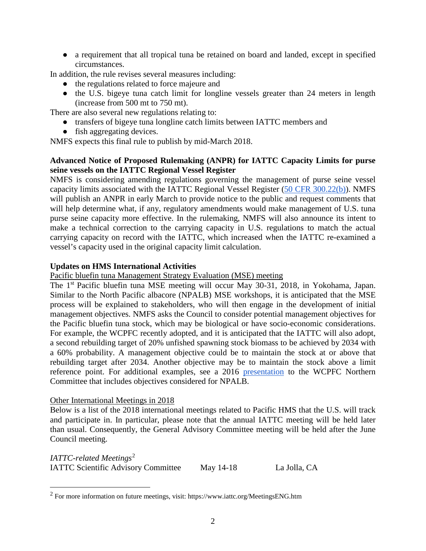● a requirement that all tropical tuna be retained on board and landed, except in specified circumstances.

In addition, the rule revises several measures including:

- the regulations related to force majeure and
- the U.S. bigeye tuna catch limit for longline vessels greater than 24 meters in length (increase from 500 mt to 750 mt).

There are also several new regulations relating to:

- transfers of bigeye tuna longline catch limits between IATTC members and
- fish aggregating devices.

NMFS expects this final rule to publish by mid-March 2018.

# **Advanced Notice of Proposed Rulemaking (ANPR) for IATTC Capacity Limits for purse seine vessels on the IATTC Regional Vessel Register**

NMFS is considering amending regulations governing the management of purse seine vessel capacity limits associated with the IATTC Regional Vessel Register [\(50 CFR 300.22\(b\)\)](https://www.ecfr.gov/cgi-bin/text-idx?SID=7debf21bdbb33bb1d65a588b8d817a93&mc=true&node=se50.11.300_122&rgn=div8). NMFS will publish an ANPR in early March to provide notice to the public and request comments that will help determine what, if any, regulatory amendments would make management of U.S. tuna purse seine capacity more effective. In the rulemaking, NMFS will also announce its intent to make a technical correction to the carrying capacity in U.S. regulations to match the actual carrying capacity on record with the IATTC, which increased when the IATTC re-examined a vessel's capacity used in the original capacity limit calculation.

## **Updates on HMS International Activities**

Pacific bluefin tuna Management Strategy Evaluation (MSE) meeting

The 1<sup>st</sup> Pacific bluefin tuna MSE meeting will occur May 30-31, 2018, in Yokohama, Japan. Similar to the North Pacific albacore (NPALB) MSE workshops, it is anticipated that the MSE process will be explained to stakeholders, who will then engage in the development of initial management objectives. NMFS asks the Council to consider potential management objectives for the Pacific bluefin tuna stock, which may be biological or have socio-economic considerations. For example, the WCPFC recently adopted, and it is anticipated that the IATTC will also adopt, a second rebuilding target of 20% unfished spawning stock biomass to be achieved by 2034 with a 60% probability. A management objective could be to maintain the stock at or above that rebuilding target after 2034. Another objective may be to maintain the stock above a limit reference point. For additional examples, see a 2016 [presentation](https://www.wcpfc.int/system/files/04%20ISC_MSE_Activity%20Report_NC12_Aug-Sept2016.pdf) to the WCPFC Northern Committee that includes objectives considered for NPALB.

#### Other International Meetings in 2018

Below is a list of the 2018 international meetings related to Pacific HMS that the U.S. will track and participate in. In particular, please note that the annual IATTC meeting will be held later than usual. Consequently, the General Advisory Committee meeting will be held after the June Council meeting.

*IATTC-related Meetings*[2](#page-1-0) IATTC Scientific Advisory Committee May 14-18 La Jolla, CA

<span id="page-1-0"></span> <sup>2</sup> For more information on future meetings, visit: https://www.iattc.org/MeetingsENG.htm